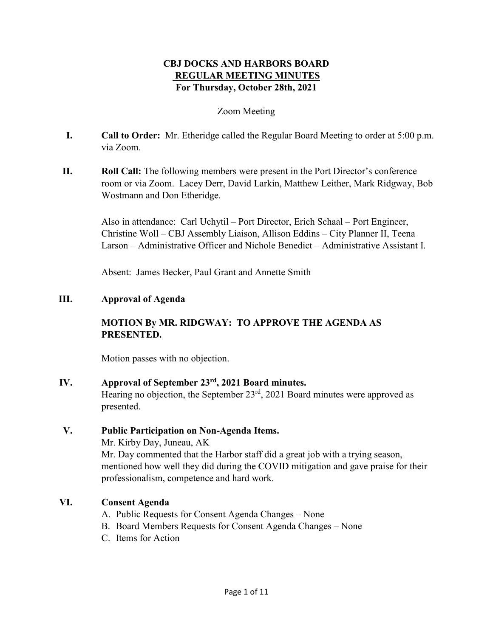# **CBJ DOCKS AND HARBORS BOARD REGULAR MEETING MINUTES For Thursday, October 28th, 2021**

## Zoom Meeting

- **I. Call to Order:** Mr. Etheridge called the Regular Board Meeting to order at 5:00 p.m. via Zoom.
- **II. Roll Call:** The following members were present in the Port Director's conference room or via Zoom. Lacey Derr, David Larkin, Matthew Leither, Mark Ridgway, Bob Wostmann and Don Etheridge.

Also in attendance: Carl Uchytil – Port Director, Erich Schaal – Port Engineer, Christine Woll – CBJ Assembly Liaison, Allison Eddins – City Planner II, Teena Larson – Administrative Officer and Nichole Benedict – Administrative Assistant I.

Absent: James Becker, Paul Grant and Annette Smith

## **III. Approval of Agenda**

# **MOTION By MR. RIDGWAY: TO APPROVE THE AGENDA AS PRESENTED.**

Motion passes with no objection.

### **IV. Approval of September 23rd, 2021 Board minutes.**

Hearing no objection, the September  $23<sup>rd</sup>$ , 2021 Board minutes were approved as presented.

## **V. Public Participation on Non-Agenda Items.**

Mr. Kirby Day, Juneau, AK

Mr. Day commented that the Harbor staff did a great job with a trying season, mentioned how well they did during the COVID mitigation and gave praise for their professionalism, competence and hard work.

# **VI. Consent Agenda**

- A. Public Requests for Consent Agenda Changes None
- B. Board Members Requests for Consent Agenda Changes None
- C. Items for Action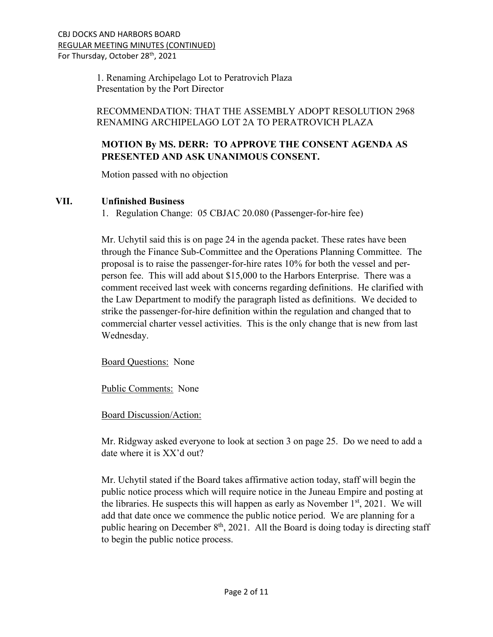1. Renaming Archipelago Lot to Peratrovich Plaza Presentation by the Port Director

# RECOMMENDATION: THAT THE ASSEMBLY ADOPT RESOLUTION 2968 RENAMING ARCHIPELAGO LOT 2A TO PERATROVICH PLAZA

# **MOTION By MS. DERR: TO APPROVE THE CONSENT AGENDA AS PRESENTED AND ASK UNANIMOUS CONSENT.**

Motion passed with no objection

# **VII. Unfinished Business**

1. Regulation Change: 05 CBJAC 20.080 (Passenger-for-hire fee)

Mr. Uchytil said this is on page 24 in the agenda packet. These rates have been through the Finance Sub-Committee and the Operations Planning Committee. The proposal is to raise the passenger-for-hire rates 10% for both the vessel and perperson fee. This will add about \$15,000 to the Harbors Enterprise. There was a comment received last week with concerns regarding definitions. He clarified with the Law Department to modify the paragraph listed as definitions. We decided to strike the passenger-for-hire definition within the regulation and changed that to commercial charter vessel activities. This is the only change that is new from last Wednesday.

Board Questions: None

Public Comments: None

Board Discussion/Action:

Mr. Ridgway asked everyone to look at section 3 on page 25. Do we need to add a date where it is XX'd out?

Mr. Uchytil stated if the Board takes affirmative action today, staff will begin the public notice process which will require notice in the Juneau Empire and posting at the libraries. He suspects this will happen as early as November  $1<sup>st</sup>$ , 2021. We will add that date once we commence the public notice period. We are planning for a public hearing on December  $8<sup>th</sup>$ , 2021. All the Board is doing today is directing staff to begin the public notice process.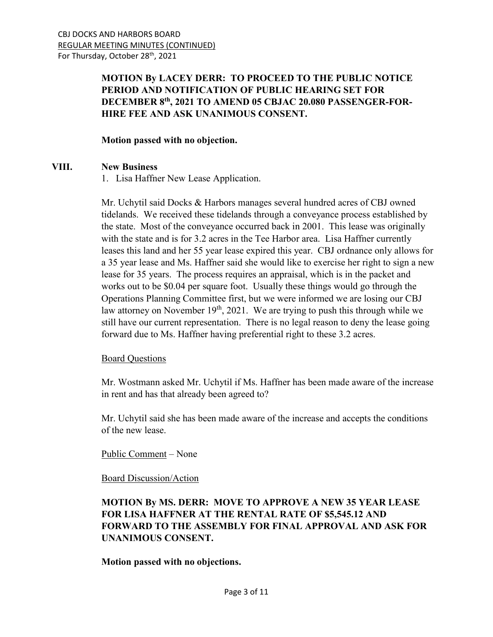# **MOTION By LACEY DERR: TO PROCEED TO THE PUBLIC NOTICE PERIOD AND NOTIFICATION OF PUBLIC HEARING SET FOR DECEMBER 8th, 2021 TO AMEND 05 CBJAC 20.080 PASSENGER-FOR-HIRE FEE AND ASK UNANIMOUS CONSENT.**

### **Motion passed with no objection.**

## **VIII. New Business**

1. Lisa Haffner New Lease Application.

Mr. Uchytil said Docks & Harbors manages several hundred acres of CBJ owned tidelands. We received these tidelands through a conveyance process established by the state. Most of the conveyance occurred back in 2001. This lease was originally with the state and is for 3.2 acres in the Tee Harbor area. Lisa Haffner currently leases this land and her 55 year lease expired this year. CBJ ordnance only allows for a 35 year lease and Ms. Haffner said she would like to exercise her right to sign a new lease for 35 years. The process requires an appraisal, which is in the packet and works out to be \$0.04 per square foot. Usually these things would go through the Operations Planning Committee first, but we were informed we are losing our CBJ law attorney on November  $19<sup>th</sup>$ , 2021. We are trying to push this through while we still have our current representation. There is no legal reason to deny the lease going forward due to Ms. Haffner having preferential right to these 3.2 acres.

### Board Questions

Mr. Wostmann asked Mr. Uchytil if Ms. Haffner has been made aware of the increase in rent and has that already been agreed to?

Mr. Uchytil said she has been made aware of the increase and accepts the conditions of the new lease.

# Public Comment – None

### Board Discussion/Action

# **MOTION By MS. DERR: MOVE TO APPROVE A NEW 35 YEAR LEASE FOR LISA HAFFNER AT THE RENTAL RATE OF \$5,545.12 AND FORWARD TO THE ASSEMBLY FOR FINAL APPROVAL AND ASK FOR UNANIMOUS CONSENT.**

# **Motion passed with no objections.**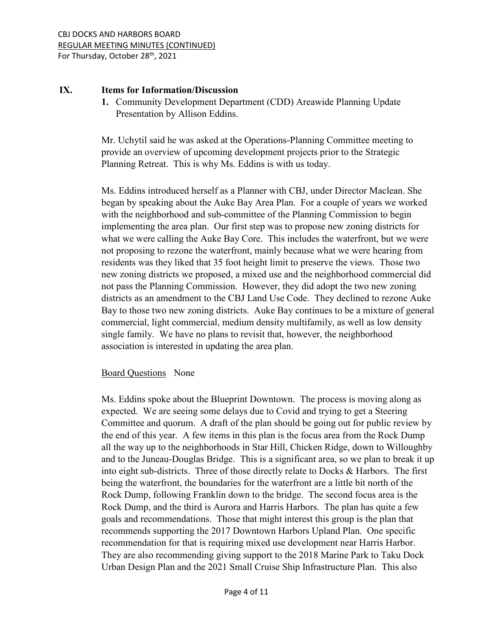### **IX. Items for Information/Discussion**

**1.** Community Development Department (CDD) Areawide Planning Update Presentation by Allison Eddins.

Mr. Uchytil said he was asked at the Operations-Planning Committee meeting to provide an overview of upcoming development projects prior to the Strategic Planning Retreat. This is why Ms. Eddins is with us today.

Ms. Eddins introduced herself as a Planner with CBJ, under Director Maclean. She began by speaking about the Auke Bay Area Plan. For a couple of years we worked with the neighborhood and sub-committee of the Planning Commission to begin implementing the area plan. Our first step was to propose new zoning districts for what we were calling the Auke Bay Core. This includes the waterfront, but we were not proposing to rezone the waterfront, mainly because what we were hearing from residents was they liked that 35 foot height limit to preserve the views. Those two new zoning districts we proposed, a mixed use and the neighborhood commercial did not pass the Planning Commission. However, they did adopt the two new zoning districts as an amendment to the CBJ Land Use Code. They declined to rezone Auke Bay to those two new zoning districts. Auke Bay continues to be a mixture of general commercial, light commercial, medium density multifamily, as well as low density single family. We have no plans to revisit that, however, the neighborhood association is interested in updating the area plan.

# Board Questions None

Ms. Eddins spoke about the Blueprint Downtown. The process is moving along as expected. We are seeing some delays due to Covid and trying to get a Steering Committee and quorum. A draft of the plan should be going out for public review by the end of this year. A few items in this plan is the focus area from the Rock Dump all the way up to the neighborhoods in Star Hill, Chicken Ridge, down to Willoughby and to the Juneau-Douglas Bridge. This is a significant area, so we plan to break it up into eight sub-districts. Three of those directly relate to Docks & Harbors. The first being the waterfront, the boundaries for the waterfront are a little bit north of the Rock Dump, following Franklin down to the bridge. The second focus area is the Rock Dump, and the third is Aurora and Harris Harbors. The plan has quite a few goals and recommendations. Those that might interest this group is the plan that recommends supporting the 2017 Downtown Harbors Upland Plan. One specific recommendation for that is requiring mixed use development near Harris Harbor. They are also recommending giving support to the 2018 Marine Park to Taku Dock Urban Design Plan and the 2021 Small Cruise Ship Infrastructure Plan. This also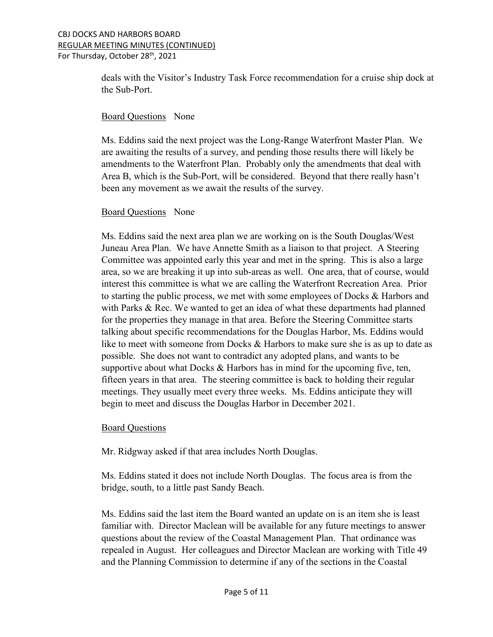#### CBJ DOCKS AND HARBORS BOARD REGULAR MEETING MINUTES (CONTINUED) For Thursday, October 28<sup>th</sup>, 2021

deals with the Visitor's Industry Task Force recommendation for a cruise ship dock at the Sub-Port.

## Board Questions None

Ms. Eddins said the next project was the Long-Range Waterfront Master Plan. We are awaiting the results of a survey, and pending those results there will likely be amendments to the Waterfront Plan. Probably only the amendments that deal with Area B, which is the Sub-Port, will be considered. Beyond that there really hasn't been any movement as we await the results of the survey.

# Board Questions None

Ms. Eddins said the next area plan we are working on is the South Douglas/West Juneau Area Plan. We have Annette Smith as a liaison to that project. A Steering Committee was appointed early this year and met in the spring. This is also a large area, so we are breaking it up into sub-areas as well. One area, that of course, would interest this committee is what we are calling the Waterfront Recreation Area. Prior to starting the public process, we met with some employees of Docks & Harbors and with Parks & Rec. We wanted to get an idea of what these departments had planned for the properties they manage in that area. Before the Steering Committee starts talking about specific recommendations for the Douglas Harbor, Ms. Eddins would like to meet with someone from Docks & Harbors to make sure she is as up to date as possible. She does not want to contradict any adopted plans, and wants to be supportive about what Docks  $\&$  Harbors has in mind for the upcoming five, ten, fifteen years in that area. The steering committee is back to holding their regular meetings. They usually meet every three weeks. Ms. Eddins anticipate they will begin to meet and discuss the Douglas Harbor in December 2021.

# Board Questions

Mr. Ridgway asked if that area includes North Douglas.

Ms. Eddins stated it does not include North Douglas. The focus area is from the bridge, south, to a little past Sandy Beach.

Ms. Eddins said the last item the Board wanted an update on is an item she is least familiar with. Director Maclean will be available for any future meetings to answer questions about the review of the Coastal Management Plan. That ordinance was repealed in August. Her colleagues and Director Maclean are working with Title 49 and the Planning Commission to determine if any of the sections in the Coastal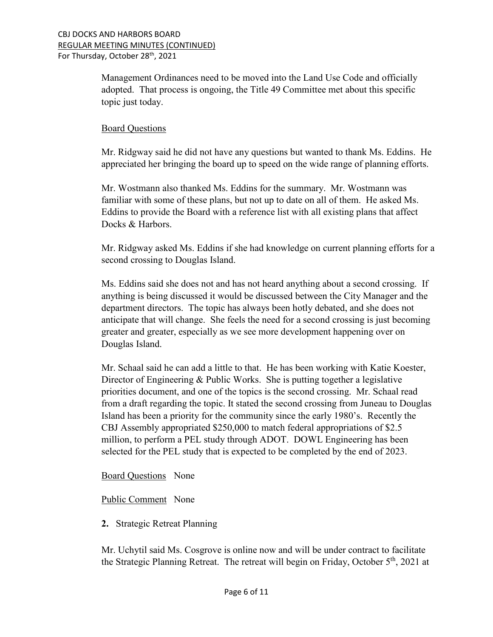Management Ordinances need to be moved into the Land Use Code and officially adopted. That process is ongoing, the Title 49 Committee met about this specific topic just today.

### Board Questions

Mr. Ridgway said he did not have any questions but wanted to thank Ms. Eddins. He appreciated her bringing the board up to speed on the wide range of planning efforts.

Mr. Wostmann also thanked Ms. Eddins for the summary. Mr. Wostmann was familiar with some of these plans, but not up to date on all of them. He asked Ms. Eddins to provide the Board with a reference list with all existing plans that affect Docks & Harbors.

Mr. Ridgway asked Ms. Eddins if she had knowledge on current planning efforts for a second crossing to Douglas Island.

Ms. Eddins said she does not and has not heard anything about a second crossing. If anything is being discussed it would be discussed between the City Manager and the department directors. The topic has always been hotly debated, and she does not anticipate that will change. She feels the need for a second crossing is just becoming greater and greater, especially as we see more development happening over on Douglas Island.

Mr. Schaal said he can add a little to that. He has been working with Katie Koester, Director of Engineering & Public Works. She is putting together a legislative priorities document, and one of the topics is the second crossing. Mr. Schaal read from a draft regarding the topic. It stated the second crossing from Juneau to Douglas Island has been a priority for the community since the early 1980's. Recently the CBJ Assembly appropriated \$250,000 to match federal appropriations of \$2.5 million, to perform a PEL study through ADOT. DOWL Engineering has been selected for the PEL study that is expected to be completed by the end of 2023.

# Board Questions None

# Public Comment None

**2.** Strategic Retreat Planning

Mr. Uchytil said Ms. Cosgrove is online now and will be under contract to facilitate the Strategic Planning Retreat. The retreat will begin on Friday, October  $5<sup>th</sup>$ , 2021 at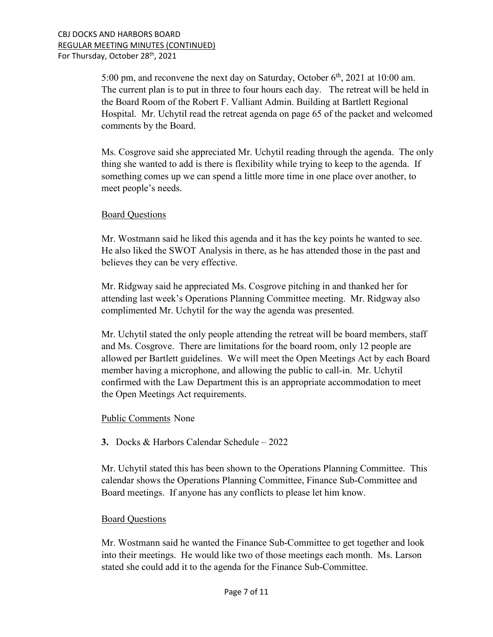5:00 pm, and reconvene the next day on Saturday, October  $6<sup>th</sup>$ , 2021 at 10:00 am. The current plan is to put in three to four hours each day. The retreat will be held in the Board Room of the Robert F. Valliant Admin. Building at Bartlett Regional Hospital. Mr. Uchytil read the retreat agenda on page 65 of the packet and welcomed comments by the Board.

Ms. Cosgrove said she appreciated Mr. Uchytil reading through the agenda. The only thing she wanted to add is there is flexibility while trying to keep to the agenda. If something comes up we can spend a little more time in one place over another, to meet people's needs.

### Board Questions

Mr. Wostmann said he liked this agenda and it has the key points he wanted to see. He also liked the SWOT Analysis in there, as he has attended those in the past and believes they can be very effective.

Mr. Ridgway said he appreciated Ms. Cosgrove pitching in and thanked her for attending last week's Operations Planning Committee meeting. Mr. Ridgway also complimented Mr. Uchytil for the way the agenda was presented.

Mr. Uchytil stated the only people attending the retreat will be board members, staff and Ms. Cosgrove. There are limitations for the board room, only 12 people are allowed per Bartlett guidelines. We will meet the Open Meetings Act by each Board member having a microphone, and allowing the public to call-in. Mr. Uchytil confirmed with the Law Department this is an appropriate accommodation to meet the Open Meetings Act requirements.

### Public Comments None

**3.** Docks & Harbors Calendar Schedule – 2022

Mr. Uchytil stated this has been shown to the Operations Planning Committee. This calendar shows the Operations Planning Committee, Finance Sub-Committee and Board meetings. If anyone has any conflicts to please let him know.

### Board Questions

Mr. Wostmann said he wanted the Finance Sub-Committee to get together and look into their meetings. He would like two of those meetings each month. Ms. Larson stated she could add it to the agenda for the Finance Sub-Committee.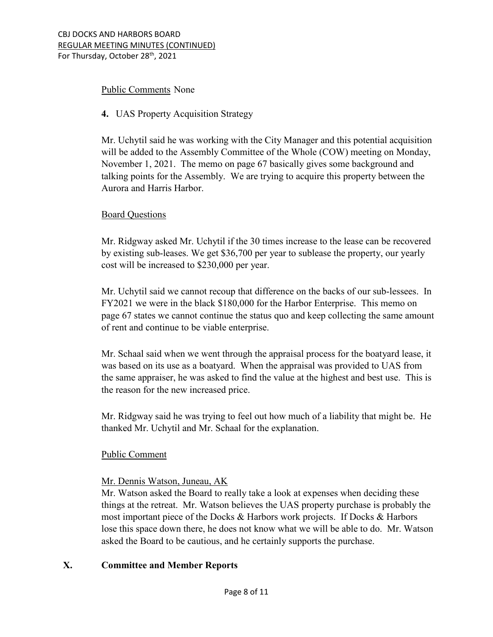## Public Comments None

## **4.** UAS Property Acquisition Strategy

Mr. Uchytil said he was working with the City Manager and this potential acquisition will be added to the Assembly Committee of the Whole (COW) meeting on Monday, November 1, 2021. The memo on page 67 basically gives some background and talking points for the Assembly. We are trying to acquire this property between the Aurora and Harris Harbor.

## Board Questions

Mr. Ridgway asked Mr. Uchytil if the 30 times increase to the lease can be recovered by existing sub-leases. We get \$36,700 per year to sublease the property, our yearly cost will be increased to \$230,000 per year.

Mr. Uchytil said we cannot recoup that difference on the backs of our sub-lessees. In FY2021 we were in the black \$180,000 for the Harbor Enterprise. This memo on page 67 states we cannot continue the status quo and keep collecting the same amount of rent and continue to be viable enterprise.

Mr. Schaal said when we went through the appraisal process for the boatyard lease, it was based on its use as a boatyard. When the appraisal was provided to UAS from the same appraiser, he was asked to find the value at the highest and best use. This is the reason for the new increased price.

Mr. Ridgway said he was trying to feel out how much of a liability that might be. He thanked Mr. Uchytil and Mr. Schaal for the explanation.

# Public Comment

### Mr. Dennis Watson, Juneau, AK

Mr. Watson asked the Board to really take a look at expenses when deciding these things at the retreat. Mr. Watson believes the UAS property purchase is probably the most important piece of the Docks & Harbors work projects. If Docks & Harbors lose this space down there, he does not know what we will be able to do. Mr. Watson asked the Board to be cautious, and he certainly supports the purchase.

# **X. Committee and Member Reports**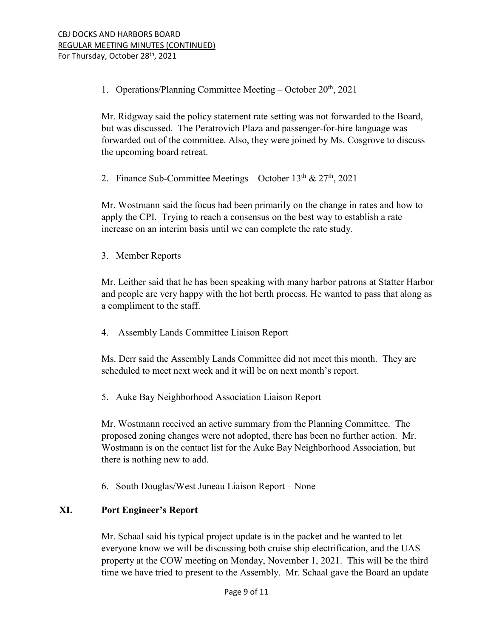1. Operations/Planning Committee Meeting – October  $20<sup>th</sup>$ , 2021

Mr. Ridgway said the policy statement rate setting was not forwarded to the Board, but was discussed. The Peratrovich Plaza and passenger-for-hire language was forwarded out of the committee. Also, they were joined by Ms. Cosgrove to discuss the upcoming board retreat.

2. Finance Sub-Committee Meetings – October  $13^{th}$  &  $27^{th}$ , 2021

Mr. Wostmann said the focus had been primarily on the change in rates and how to apply the CPI. Trying to reach a consensus on the best way to establish a rate increase on an interim basis until we can complete the rate study.

3. Member Reports

Mr. Leither said that he has been speaking with many harbor patrons at Statter Harbor and people are very happy with the hot berth process. He wanted to pass that along as a compliment to the staff.

4. Assembly Lands Committee Liaison Report

Ms. Derr said the Assembly Lands Committee did not meet this month. They are scheduled to meet next week and it will be on next month's report.

5. Auke Bay Neighborhood Association Liaison Report

Mr. Wostmann received an active summary from the Planning Committee. The proposed zoning changes were not adopted, there has been no further action. Mr. Wostmann is on the contact list for the Auke Bay Neighborhood Association, but there is nothing new to add.

6. South Douglas/West Juneau Liaison Report – None

# **XI. Port Engineer's Report**

Mr. Schaal said his typical project update is in the packet and he wanted to let everyone know we will be discussing both cruise ship electrification, and the UAS property at the COW meeting on Monday, November 1, 2021. This will be the third time we have tried to present to the Assembly. Mr. Schaal gave the Board an update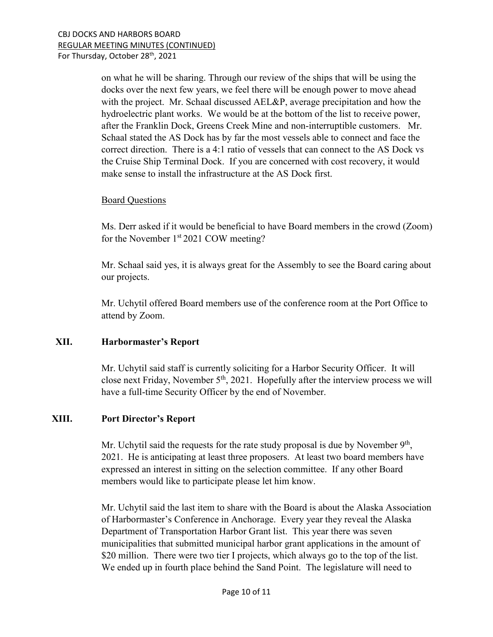on what he will be sharing. Through our review of the ships that will be using the docks over the next few years, we feel there will be enough power to move ahead with the project. Mr. Schaal discussed AEL&P, average precipitation and how the hydroelectric plant works. We would be at the bottom of the list to receive power, after the Franklin Dock, Greens Creek Mine and non-interruptible customers. Mr. Schaal stated the AS Dock has by far the most vessels able to connect and face the correct direction. There is a 4:1 ratio of vessels that can connect to the AS Dock vs the Cruise Ship Terminal Dock. If you are concerned with cost recovery, it would make sense to install the infrastructure at the AS Dock first.

### Board Questions

Ms. Derr asked if it would be beneficial to have Board members in the crowd (Zoom) for the November 1<sup>st</sup> 2021 COW meeting?

Mr. Schaal said yes, it is always great for the Assembly to see the Board caring about our projects.

Mr. Uchytil offered Board members use of the conference room at the Port Office to attend by Zoom.

# **XII. Harbormaster's Report**

Mr. Uchytil said staff is currently soliciting for a Harbor Security Officer. It will close next Friday, November  $5<sup>th</sup>$ , 2021. Hopefully after the interview process we will have a full-time Security Officer by the end of November.

### **XIII. Port Director's Report**

Mr. Uchytil said the requests for the rate study proposal is due by November 9<sup>th</sup>, 2021. He is anticipating at least three proposers. At least two board members have expressed an interest in sitting on the selection committee. If any other Board members would like to participate please let him know.

Mr. Uchytil said the last item to share with the Board is about the Alaska Association of Harbormaster's Conference in Anchorage. Every year they reveal the Alaska Department of Transportation Harbor Grant list. This year there was seven municipalities that submitted municipal harbor grant applications in the amount of \$20 million. There were two tier I projects, which always go to the top of the list. We ended up in fourth place behind the Sand Point. The legislature will need to